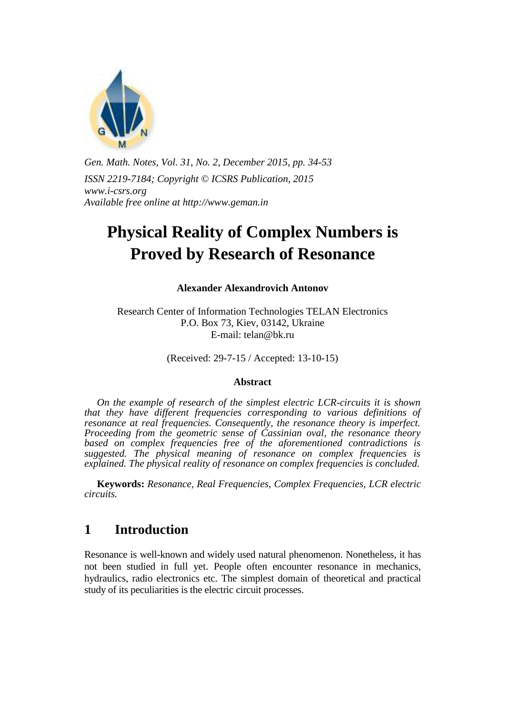

*Gen. Math. Notes, Vol. 31, No. 2, December 2015, pp. 34-53 ISSN 2219-7184; Copyright © ICSRS Publication, 2015 www.i-csrs.org Available free online at http://www.geman.in* 

# **Physical Reality of Complex Numbers is Proved by Research of Resonance**

**Alexander Alexandrovich Antonov**

Research Center of Information Technologies TELAN Electronics P.O. Box 73, Kiev, 03142, Ukraine E-mail: telan@bk.ru

(Received: 29-7-15 / Accepted: 13-10-15)

#### **Abstract**

 *On the example of research of the simplest electric LCR-circuits it is shown that they have different frequencies corresponding to various definitions of resonance at real frequencies. Consequently, the resonance theory is imperfect. Proceeding from the geometric sense of Cassinian oval, the resonance theory*  based on complex frequencies free of the aforementioned contradictions is *suggested. The physical meaning of resonance on complex frequencies is explained. The physical reality of resonance on complex frequencies is concluded.* 

 **Keywords:** *Resonance, Real Frequencies, Complex Frequencies, LCR electric circuits.*

#### **1 Introduction**

Resonance is well-known and widely used natural phenomenon. Nonetheless, it has not been studied in full yet. People often encounter resonance in mechanics, hydraulics, radio electronics etc. The simplest domain of theoretical and practical study of its peculiarities is the electric circuit processes.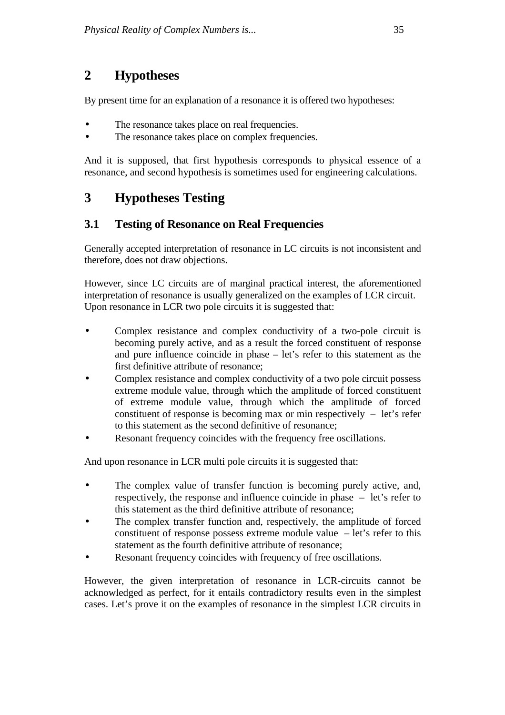## **2 Hypotheses**

By present time for an explanation of a resonance it is offered two hypotheses:

- The resonance takes place on real frequencies.
- The resonance takes place on complex frequencies.

And it is supposed, that first hypothesis corresponds to physical essence of a resonance, and second hypothesis is sometimes used for engineering calculations.

## **3 Hypotheses Testing**

#### **3.1 Testing of Resonance on Real Frequencies**

Generally accepted interpretation of resonance in LC circuits is not inconsistent and therefore, does not draw objections.

However, since LC circuits are of marginal practical interest, the aforementioned interpretation of resonance is usually generalized on the examples of LCR circuit. Upon resonance in LCR two pole circuits it is suggested that:

- Complex resistance and complex conductivity of a two-pole circuit is becoming purely active, and as a result the forced constituent of response and pure influence coincide in phase – let's refer to this statement as the first definitive attribute of resonance;
- Complex resistance and complex conductivity of a two pole circuit possess extreme module value, through which the amplitude of forced constituent of extreme module value, through which the amplitude of forced constituent of response is becoming max or min respectively – let's refer to this statement as the second definitive of resonance;
- Resonant frequency coincides with the frequency free oscillations.

And upon resonance in LCR multi pole circuits it is suggested that:

- The complex value of transfer function is becoming purely active, and, respectively, the response and influence coincide in phase – let's refer to this statement as the third definitive attribute of resonance;
- The complex transfer function and, respectively, the amplitude of forced constituent of response possess extreme module value  $-$  let's refer to this statement as the fourth definitive attribute of resonance;
- Resonant frequency coincides with frequency of free oscillations.

However, the given interpretation of resonance in LCR-circuits cannot be acknowledged as perfect, for it entails contradictory results even in the simplest cases. Let's prove it on the examples of resonance in the simplest LCR circuits in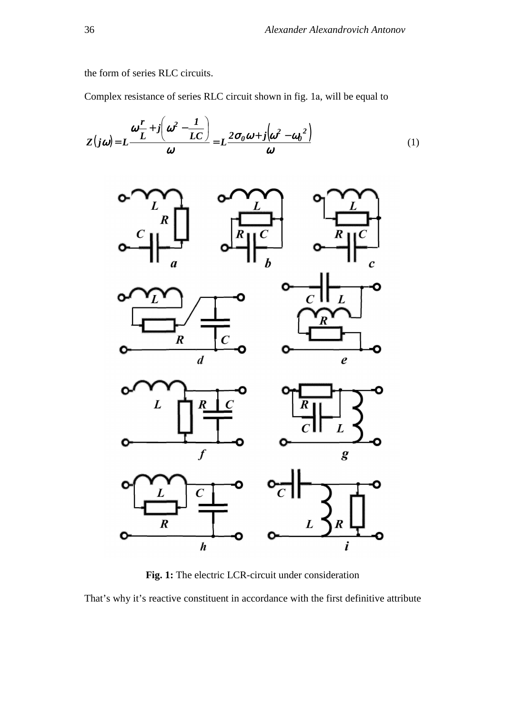the form of series RLC circuits.

Complex resistance of series RLC circuit shown in fig. 1а, will be equal to

$$
Z(j\omega) = L \frac{\omega \frac{r}{L} + j \left(\omega^2 - \frac{1}{LC}\right)}{\omega} = L \frac{2\sigma_0 \omega + j \left(\omega^2 - \omega_0^2\right)}{\omega} \tag{1}
$$



**Fig. 1:** The electric LCR-circuit under consideration

That's why it's reactive constituent in accordance with the first definitive attribute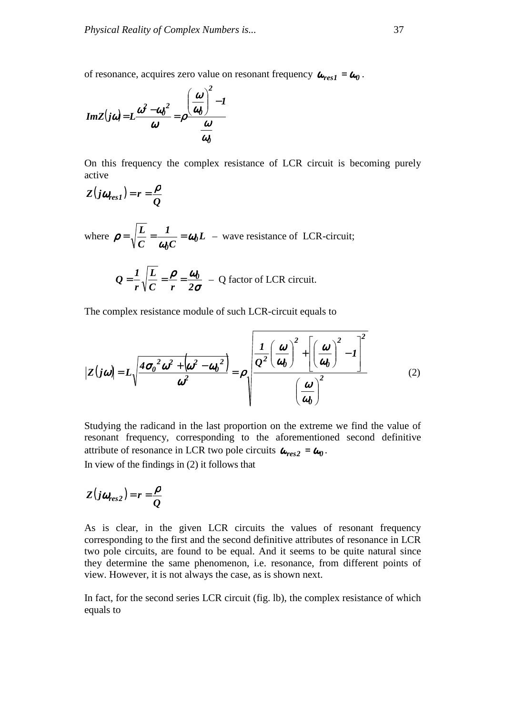of resonance, acquires zero value on resonant frequency  $\omega_{res1} = \omega_0$ .



On this frequency the complex resistance of LCR circuit is becoming purely active

$$
Z(j\omega_{res1})=r=\frac{\rho}{Q}
$$

where  $\rho = \sqrt{\frac{L}{g}} = \frac{L}{g} = \omega_0 L$ *C 1 C L 0 0* ω  $\rho = \sqrt{\frac{E}{C}} = \frac{1}{\omega_0 C} = \omega_0 L$  – wave resistance of LCR-circuit;

$$
Q = \frac{1}{r} \sqrt{\frac{L}{C}} = \frac{\rho}{r} = \frac{\omega_0}{2\sigma} - Q \text{ factor of LCR circuit.}
$$

The complex resistance module of such LCR-circuit equals to

$$
\left| Z(j\omega) \right| = L \sqrt{\frac{4\sigma_0^2 \omega^2 + \left( \omega^2 - a_0^2 \right)}{\omega^2}} = \rho \sqrt{\frac{\frac{1}{Q^2} \left( \frac{\omega}{a_0} \right)^2 + \left[ \left( \frac{\omega}{a_0} \right)^2 - 1 \right]^2}{\left( \frac{\omega}{a_0} \right)^2}}
$$
(2)

Studying the radicand in the last proportion on the extreme we find the value of resonant frequency, corresponding to the aforementioned second definitive attribute of resonance in LCR two pole circuits  $\boldsymbol{\omega}_{res2} = \boldsymbol{\omega}_0$ . In view of the findings in (2) it follows that

$$
Z(j\omega_{res2})=r=\frac{\rho}{Q}
$$

As is clear, in the given LCR circuits the values of resonant frequency corresponding to the first and the second definitive attributes of resonance in LCR two pole circuits, are found to be equal. And it seems to be quite natural since they determine the same phenomenon, i.e. resonance, from different points of view. However, it is not always the case, as is shown next.

In fact, for the second series LCR circuit (fig. lb), the complex resistance of which equals to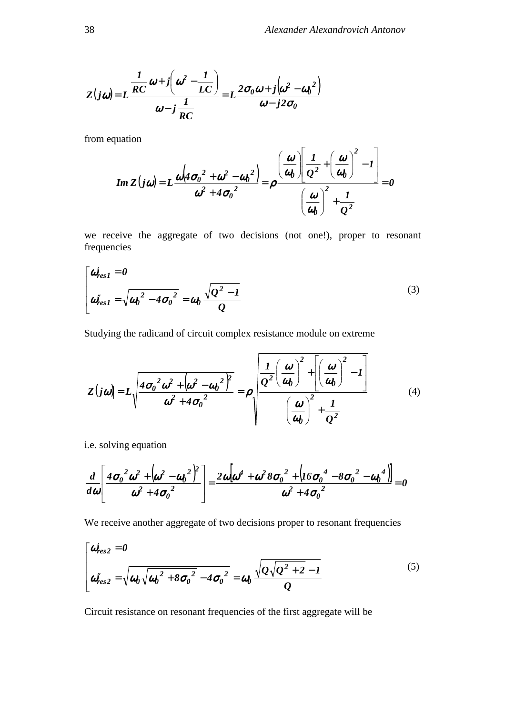$$
Z(j\omega) = L \frac{\frac{1}{RC} \omega + j \left(\omega^2 - \frac{1}{LC}\right)}{\omega - j \frac{1}{RC}} = L \frac{2\sigma_0 \omega + j \left(\omega^2 - \omega_0^2\right)}{\omega - j2\sigma_0}
$$

from equation

$$
Im Z(j\omega) = L \frac{\omega \left( 4\sigma_0^2 + \omega^2 - \omega_0^2 \right)}{\omega^2 + 4\sigma_0^2} = \rho \frac{\left( \frac{\omega}{\omega_0} \right) \left[ \frac{1}{Q^2} + \left( \frac{\omega}{\omega_0} \right)^2 - 1 \right]}{\left( \frac{\omega}{\omega_0} \right)^2 + \frac{1}{Q^2}} = 0
$$

we receive the aggregate of two decisions (not one!), proper to resonant frequencies

$$
\begin{bmatrix}\n\boldsymbol{\omega}_{res1}^{\prime} = \boldsymbol{0} \\
\boldsymbol{\omega}_{res1}^{\prime\prime} = \sqrt{\boldsymbol{\omega}_0^2 - 4\boldsymbol{\sigma}_0^2} = \boldsymbol{\omega}_0 \frac{\sqrt{Q^2 - 1}}{Q}\n\end{bmatrix}
$$
\n(3)

Studying the radicand of circuit complex resistance module on extreme

$$
|Z(j\omega)| = L\sqrt{\frac{4\sigma_0^2\omega^2 + (\omega^2 - \omega_0^2)^2}{\omega^2 + 4\sigma_0^2}} = \rho\sqrt{\frac{L}{\frac{Q^2}{\omega_0}}\left(\frac{\omega}{\omega_0}\right)^2 + \left[\left(\frac{\omega}{\omega_0}\right)^2 - I\right]}
$$
(4)

i.e. solving equation

$$
\frac{d}{d\omega}\left[\frac{4\sigma_0^2\omega^2 + (\omega^2 - {\omega_0}^2)^2}{\omega^2 + 4{\sigma_0}^2}\right] = \frac{2\omega[\omega^4 + \omega^2 8{\sigma_0}^2 + (16{\sigma_0}^4 - 8{\sigma_0}^2 - {\omega_0}^4)]}{\omega^2 + 4{\sigma_0}^2} = 0
$$

We receive another aggregate of two decisions proper to resonant frequencies

$$
\begin{bmatrix}\n\boldsymbol{\omega}_{res2}^{\prime} = \boldsymbol{0} \\
\boldsymbol{\omega}_{res2}^{\prime\prime} = \sqrt{\boldsymbol{\omega}_0 \sqrt{\boldsymbol{\omega}_0^2 + 8 \boldsymbol{\sigma}_0^2 - 4 \boldsymbol{\sigma}_0^2}} = \boldsymbol{\omega}_0 \frac{\sqrt{\boldsymbol{Q} \sqrt{\boldsymbol{Q}^2 + 2} - 1}}{\boldsymbol{Q}}\n\end{bmatrix}
$$
\n(5)

Circuit resistance on resonant frequencies of the first aggregate will be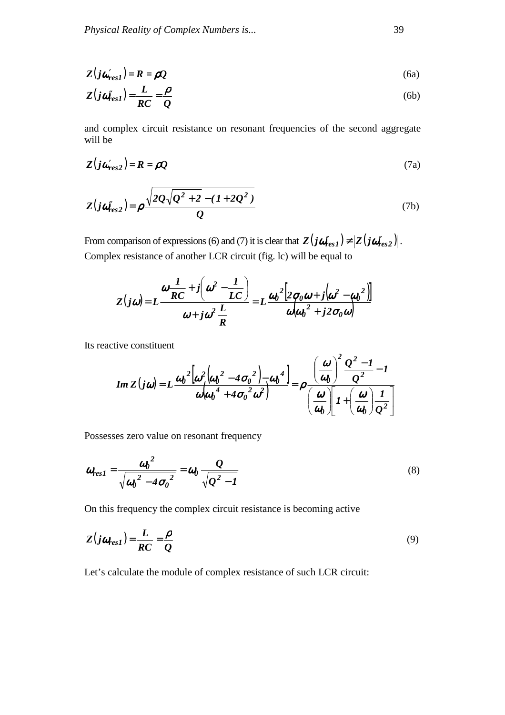$$
Z(j\omega'_{res1}) = R = \rho Q \tag{6a}
$$

$$
Z(j\omega_{res1}^{\prime}) = \frac{L}{RC} = \frac{\rho}{Q}
$$
 (6b)

and complex circuit resistance on resonant frequencies of the second aggregate will be

$$
Z(j\omega'_{res2}) = R = \rho Q \tag{7a}
$$

$$
Z(j\omega_{res2}^{\prime}) = \rho \frac{\sqrt{2Q\sqrt{Q^{2}+2}-(1+2Q^{2})}}{Q}
$$
 (7b)

From comparison of expressions (6) and (7) it is clear that  $Z(j\omega''_{res1}) \neq |Z(j\omega''_{res2})|$ . Complex resistance of another LCR circuit (fig. lc) will be equal to

$$
Z(j\omega) = L\frac{\omega\frac{1}{RC} + j\left(\omega^2 - \frac{1}{LC}\right)}{\omega + j\omega^2 \frac{L}{R}} = L\frac{\omega_0^2\left[2\sigma_0\omega + j\left(\omega^2 - \omega_0^2\right)\right]}{\omega(\omega_0^2 + j2\sigma_0\omega)}
$$

Its reactive constituent

$$
Im Z(j\omega) = L \frac{\omega_0^2 \left[ \omega^2 \left( \omega_0^2 - 4\sigma_0^2 \right) - \omega_0^4 \right]}{\omega \left( \omega_0^4 + 4\sigma_0^2 \omega^2 \right)} = \rho \frac{\left( \frac{\omega}{\omega_0} \right)^2 \frac{Q^2 - 1}{Q^2}}{\left( \frac{\omega}{\omega_0} \right) \left[ 1 + \left( \frac{\omega}{\omega_0} \right) \frac{1}{Q^2} \right]}
$$

Possesses zero value on resonant frequency

$$
\boldsymbol{\omega}_{res1} = \frac{\boldsymbol{\omega}_0^2}{\sqrt{{\boldsymbol{\omega}_0}^2 - 4{\sigma_0}^2}} = \boldsymbol{\omega}_0 \frac{Q}{\sqrt{Q^2 - 1}}
$$
\n(8)

On this frequency the complex circuit resistance is becoming active

$$
Z(j\omega_{res1}) = \frac{L}{RC} = \frac{\rho}{Q}
$$
\n(9)

Let's calculate the module of complex resistance of such LCR circuit: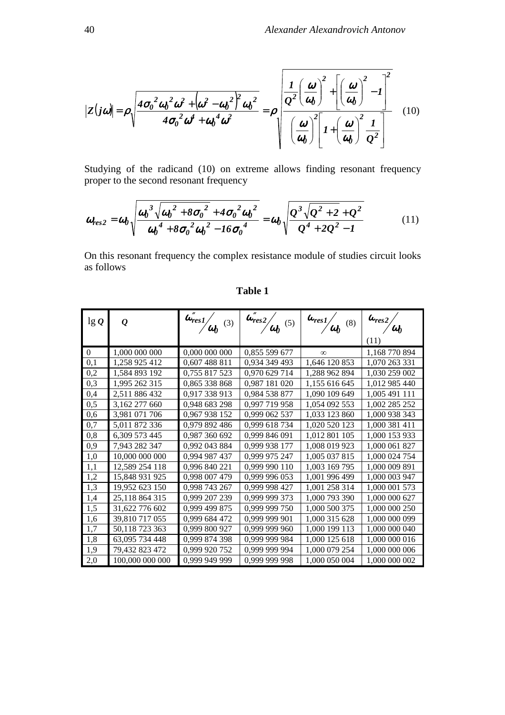$$
|Z(j\omega)| = \rho \sqrt{\frac{4\sigma_0^2 \omega_0^2 \omega^2 + (\omega^2 - \omega_0^2)^2 \omega_0^2}{4\sigma_0^2 \omega^4 + \omega_0^4 \omega^2}} = \rho \sqrt{\frac{L}{\frac{Q^2}{\omega_0}} \left(\frac{\omega}{\omega_0}\right)^2 + \left[\left(\frac{\omega}{\omega_0}\right)^2 - I\right]^2} \quad (10)
$$

Studying of the radicand (10) on extreme allows finding resonant frequency proper to the second resonant frequency

$$
\omega_{res2} = \omega_0 \sqrt{\frac{\omega_0^3 \sqrt{\omega_0^2 + 8\sigma_0^2 + 4\sigma_0^2 \omega_0^2}}{\omega_0^4 + 8\sigma_0^2 \omega_0^2 - 16\sigma_0^4}} = \omega_0 \sqrt{\frac{Q^3 \sqrt{Q^2 + 2} + Q^2}{Q^4 + 2Q^2 - 1}}
$$
(11)

On this resonant frequency the complex resistance module of studies circuit looks as follows

| $\lg Q$        | $\boldsymbol{\varrho}$ | $\omega''_{res1/}$<br>(3)<br>$\omega_0$ | $\overline{\omega_{res}^2}$<br>(5) | $\overline{\omega}_{res1}$ $\overline{\omega}_0$<br>(8) | $\boldsymbol{\omega_{res}}_2$<br>$\omega_0$ |
|----------------|------------------------|-----------------------------------------|------------------------------------|---------------------------------------------------------|---------------------------------------------|
|                |                        |                                         |                                    |                                                         | (11)                                        |
| $\overline{0}$ | 1,000 000 000          | 0,000 000 000                           | 0,855 599 677                      | $\infty$                                                | 1,168 770 894                               |
| 0,1            | 1,258 925 412          | 0,607 488 811                           | 0,934 349 493                      | 1,646 120 853                                           | 1,070 263 331                               |
| 0,2            | 1,584 893 192          | 0,755 817 523                           | 0,970 629 714                      | 1,288 962 894                                           | 1,030 259 002                               |
| 0,3            | 1,995 262 315          | 0,865 338 868                           | 0,987 181 020                      | 1,155 616 645                                           | 1,012 985 440                               |
| 0,4            | 2,511 886 432          | 0,917 338 913                           | 0,984 538 877                      | 1,090 109 649                                           | 1,005 491 111                               |
| 0,5            | 3,162 277 660          | 0,948 683 298                           | 0,997 719 958                      | 1,054 092 553                                           | 1,002 285 252                               |
| 0,6            | 3,981 071 706          | 0,967 938 152                           | 0,999 062 537                      | 1,033 123 860                                           | 1,000 938 343                               |
| 0,7            | 5,011 872 336          | 0,979 892 486                           | 0,999 618 734                      | 1,020 520 123                                           | 1,000 381 411                               |
| 0,8            | 6,309 573 445          | 0,987 360 692                           | 0,999 846 091                      | 1,012 801 105                                           | 1,000 153 933                               |
| 0,9            | 7,943 282 347          | 0,992 043 884                           | 0,999 938 177                      | 1,008 019 923                                           | 1,000 061 827                               |
| 1,0            | 10,000 000 000         | 0,994 987 437                           | 0,999 975 247                      | 1,005 037 815                                           | 1,000 024 754                               |
| 1,1            | 12,589 254 118         | 0,996 840 221                           | 0,999 990 110                      | 1,003 169 795                                           | 1,000 009 891                               |
| 1,2            | 15,848 931 925         | 0,998 007 479                           | 0,999 996 053                      | 1,001 996 499                                           | 1,000 003 947                               |
| 1,3            | 19,952 623 150         | 0,998 743 267                           | 0,999 998 427                      | 1,001 258 314                                           | 1,000 001 573                               |
| 1,4            | 25,118 864 315         | 0,999 207 239                           | 0,999 999 373                      | 1,000 793 390                                           | 1,000 000 627                               |
| 1,5            | 31,622 776 602         | 0,999 499 875                           | 0,999 999 750                      | 1,000 500 375                                           | 1,000 000 250                               |
| 1,6            | 39,810 717 055         | 0,999 684 472                           | 0,999 999 901                      | 1,000 315 628                                           | 1,000 000 099                               |
| 1,7            | 50,118 723 363         | 0,999 800 927                           | 0,999 999 960                      | 1,000 199 113                                           | 1,000 000 040                               |
| 1,8            | 63,095 734 448         | 0,999 874 398                           | 0,999 999 984                      | 1,000 125 618                                           | 1,000 000 016                               |
| 1,9            | 79,432 823 472         | 0,999 920 752                           | 0,999 999 994                      | 1,000 079 254                                           | 1,000 000 006                               |
| 2,0            | 100,000 000 000        | 0,999 949 999                           | 0,999 999 998                      | 1,000 050 004                                           | 1,000 000 002                               |

**Table 1**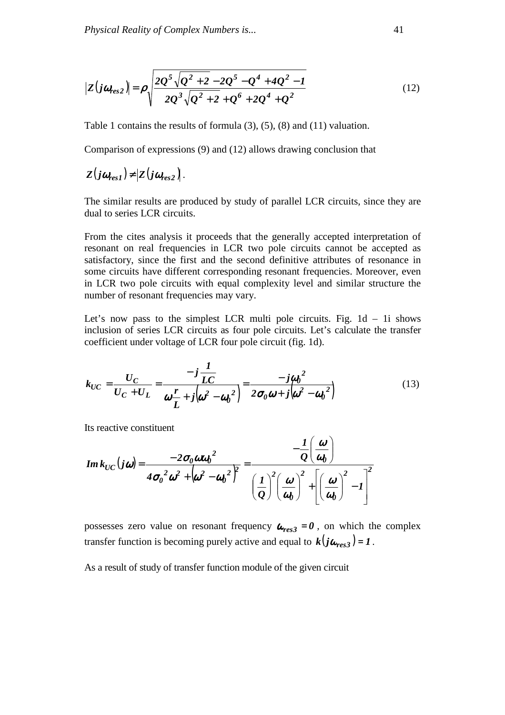$$
|Z(j\omega_{res2})| = \rho \sqrt{\frac{2Q^5\sqrt{Q^2+2}-2Q^5-Q^4+4Q^2-1}{2Q^3\sqrt{Q^2+2}+Q^6+2Q^4+Q^2}}
$$
(12)

Table 1 contains the results of formula (3), (5), (8) and (11) valuation.

Comparison of expressions (9) and (12) allows drawing conclusion that

 $Z(j\omega_{res}) \neq |Z(j\omega_{res})|$ .

The similar results are produced by study of parallel LCR circuits, since they are dual to series LCR circuits.

From the cites analysis it proceeds that the generally accepted interpretation of resonant on real frequencies in LCR two pole circuits cannot be accepted as satisfactory, since the first and the second definitive attributes of resonance in some circuits have different corresponding resonant frequencies. Moreover, even in LCR two pole circuits with equal complexity level and similar structure the number of resonant frequencies may vary.

Let's now pass to the simplest LCR multi pole circuits. Fig.  $1d - 1i$  shows inclusion of series LCR circuits as four pole circuits. Let's calculate the transfer coefficient under voltage of LCR four pole circuit (fig. 1d).

$$
k_{UC} = \frac{U_C}{U_C + U_L} = \frac{-j\frac{1}{LC}}{\omega \frac{r}{L} + j(\omega^2 - \omega_0^2)} = \frac{-j\omega_0^2}{2\sigma_0\omega + j(\omega^2 - \omega_0^2)}
$$
(13)

Its reactive constituent

$$
Im\,k_{UC}(j\omega) = \frac{-2\sigma_0 \omega \omega_0^2}{4\sigma_0^2 \omega^2 + (\omega^2 - {\omega_0}^2)^2} = \frac{-\frac{1}{Q}(\frac{\omega}{\omega_0})}{\left(\frac{1}{Q}\right)^2 \left(\frac{\omega}{\omega_0}\right)^2 + \left[\left(\frac{\omega}{\omega_0}\right)^2 - 1\right]^2}
$$

possesses zero value on resonant frequency  $\omega_{res,3} = 0$ , on which the complex transfer function is becoming purely active and equal to  $k(j\omega_{res3}) = 1$ .

As a result of study of transfer function module of the given circuit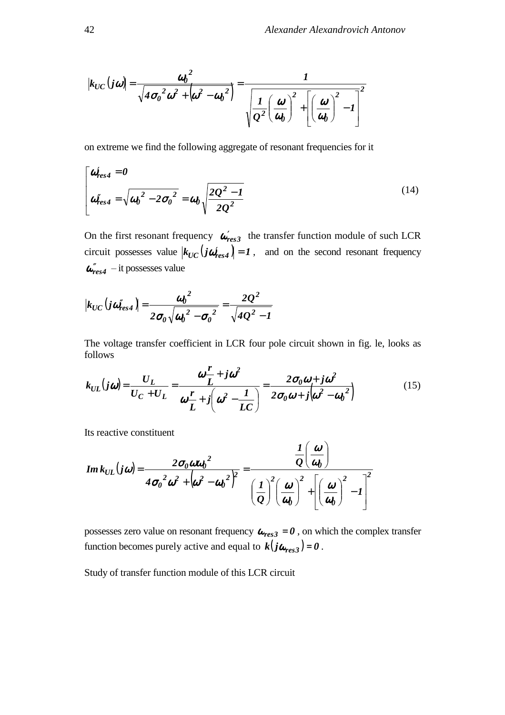$$
|k_{UC}(j\omega)| = \frac{{\omega_0}^2}{\sqrt{4{\sigma_0}^2{\omega}^2 + \left(\omega^2 - {\omega_0}^2\right)}} = \frac{1}{\sqrt{\frac{1}{Q^2} \left(\frac{\omega}{\omega_0}\right)^2 + \left[\left(\frac{\omega}{\omega_0}\right)^2 - 1\right]^2}}
$$

on extreme we find the following aggregate of resonant frequencies for it

$$
\begin{bmatrix}\n\boldsymbol{\omega}_{res4}^{\prime} = \boldsymbol{0} \\
\boldsymbol{\omega}_{res4}^{\prime\prime} = \sqrt{{\boldsymbol{\omega}_0}^2 - 2{\boldsymbol{\sigma}_0}^2} = {\boldsymbol{\omega}_0} \sqrt{\frac{2Q^2 - 1}{2Q^2}}\n\end{bmatrix}
$$
\n(14)

On the first resonant frequency  $\omega'_{res3}$  the transfer function module of such LCR circuit possesses value  $|k_{UC}(j\omega'_{res4})| = 1$ , and on the second resonant frequency  $\boldsymbol{\omega}^{\prime\prime}_{res4}$  – it possesses value

$$
|k_{UC}(j\omega_{res4}^{\prime\prime})| = \frac{{\omega_0}^2}{2{\sigma_0}\sqrt{{\omega_0}^2 - {\sigma_0}^2}} = \frac{2Q^2}{\sqrt{4Q^2 - 1}}
$$

The voltage transfer coefficient in LCR four pole circuit shown in fig. le, looks as follows

$$
k_{UL}(j\omega) = \frac{U_L}{U_C + U_L} = \frac{\omega \frac{r}{L} + j\omega^2}{\omega \frac{r}{L} + j\left(\omega^2 - \frac{I}{LC}\right)} = \frac{2\sigma_0\omega + j\omega^2}{2\sigma_0\omega + j\left(\omega^2 - \omega_0\right)^2}
$$
(15)

Its reactive constituent

$$
Im k_{UL}(j\omega) = \frac{2\sigma_0 \omega \omega_0^2}{4\sigma_0^2 \omega^2 + (\omega^2 - {\omega_0}^2)^2} = \frac{\frac{1}{Q}(\frac{\omega}{\omega_0})}{\left(\frac{1}{Q}\right)^2 \left(\frac{\omega}{\omega_0}\right)^2 + \left[\left(\frac{\omega}{\omega_0}\right)^2 - 1\right]^2}
$$

possesses zero value on resonant frequency  $\boldsymbol{\omega_{res3}} = \boldsymbol{0}$ , on which the complex transfer function becomes purely active and equal to  $k(j\omega_{res3}) = 0$ .

Study of transfer function module of this LCR circuit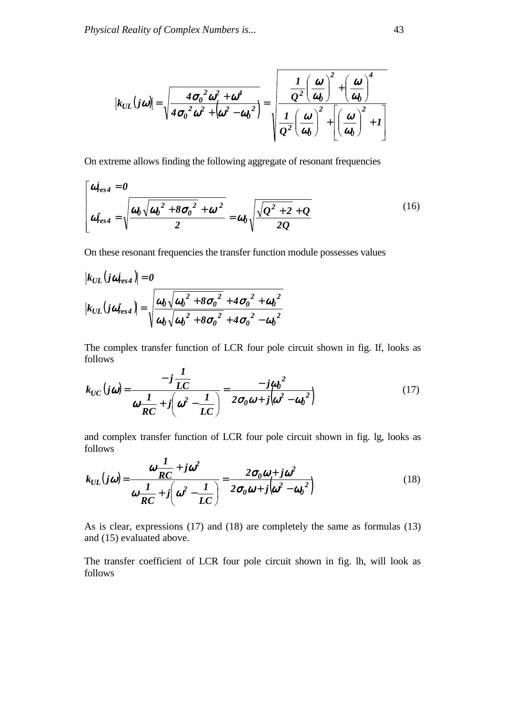$$
|k_{UL}(j\omega)| = \sqrt{\frac{4{\sigma_0}^2 \omega^2 + \omega^4}{4{\sigma_0}^2 \omega^2 + (\omega^2 - {\omega_0}^2)}} = \sqrt{\frac{1}{\frac{Q^2}{Q^2} (\frac{\omega}{\omega_0})^2 + (\frac{\omega}{\omega_0})^4 + 1}}.
$$

On extreme allows finding the following aggregate of resonant frequencies

$$
\begin{bmatrix}\n\boldsymbol{\omega}_{res4}^{\prime} = \boldsymbol{0} \\
\boldsymbol{\omega}_{res4}^{\prime} = \sqrt{\frac{\boldsymbol{\omega}_0 \sqrt{\boldsymbol{\omega}_0^2 + 8 \sigma_0^2 + \boldsymbol{\omega}^2}}{2}} = \boldsymbol{\omega}_0 \sqrt{\frac{\sqrt{Q^2 + 2} + Q}{2Q}}\n\end{bmatrix}
$$
\n(16)

On these resonant frequencies the transfer function module possesses values

$$
|k_{UL}(j\omega'_{res4})| = 0
$$
  

$$
|k_{UL}(j\omega''_{res4})| = \sqrt{\frac{\omega_0 \sqrt{\omega_0^2 + 8{\sigma_0}^2 + 4{\sigma_0}^2 + {\omega_0}^2}}{\omega_0 \sqrt{\omega_0^2 + 8{\sigma_0}^2 + 4{\sigma_0}^2 - {\omega_0}^2}}}
$$

The complex transfer function of LCR four pole circuit shown in fig. If, looks as follows *1*

$$
k_{UC}(j\omega) = \frac{-j\frac{1}{LC}}{\omega\frac{1}{RC}+j\left(\omega^2-\frac{1}{LC}\right)} = \frac{-j\omega_0^2}{2\sigma_0\omega+j\left(\omega^2-\omega_0^2\right)}
$$
(17)

and complex transfer function of LCR four pole circuit shown in fig. lg, looks as follows *1*

$$
k_{UL}(j\omega) = \frac{\omega \frac{1}{RC} + j\omega^2}{\omega \frac{1}{RC} + j\left(\omega^2 - \frac{1}{LC}\right)} = \frac{2\sigma_0\omega + j\omega^2}{2\sigma_0\omega + j\left(\omega^2 - \omega_0\right)^2}
$$
(18)

As is clear, expressions (17) and (18) are completely the same as formulas (13) and (15) evaluated above.

The transfer coefficient of LCR four pole circuit shown in fig. lh, will look as follows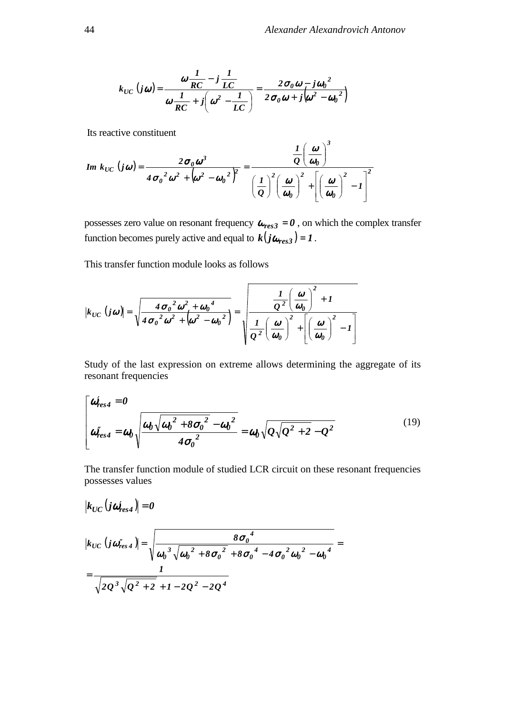$$
k_{UC} (j\omega) = \frac{\omega \frac{1}{RC} - j \frac{1}{LC}}{\omega \frac{1}{RC} + j \left(\omega^2 - \frac{1}{LC}\right)} = \frac{2 \sigma_0 \omega - j \omega_0^2}{2 \sigma_0 \omega + j \left(\omega^2 - \omega_0^2\right)}
$$

Its reactive constituent

$$
Im\ k_{UC}\ (j\omega) = \frac{2\sigma_0\omega^3}{4\sigma_0^2\omega^2 + (\omega^2 - {\omega_0}^2)^2} = \frac{\frac{1}{Q}\left(\frac{\omega}{\omega_0}\right)^3}{\left(\frac{1}{Q}\right)^2\left(\frac{\omega}{\omega_0}\right)^2 + \left[\left(\frac{\omega}{\omega_0}\right)^2 - 1\right]^2}
$$

possesses zero value on resonant frequency  $\boldsymbol{\omega_{res3}} = \boldsymbol{0}$ , on which the complex transfer function becomes purely active and equal to  $k(j\omega_{res3}) = 1$ .

<u> 1989 - Johann Barbara, martxa a</u>

This transfer function module looks as follows

$$
|k_{UC} (j\boldsymbol{\omega})| = \sqrt{\frac{4{\sigma_0}^2{\boldsymbol{\omega}}^2 + {\boldsymbol{\omega_0}}^4}{4{\sigma_0}^2{\boldsymbol{\omega}}^2 + \left(\boldsymbol{\omega}^2 - {\boldsymbol{\omega_0}}^2\right)^2}} = \sqrt{\frac{\frac{1}{Q^2}{\left(\frac{\boldsymbol{\omega}}{\boldsymbol{\omega_0}}\right)}^2 + 1}{\frac{1}{Q^2}{\left(\frac{\boldsymbol{\omega}}{\boldsymbol{\omega_0}}\right)}^2 + \left[\left(\frac{\boldsymbol{\omega}}{\boldsymbol{\omega_0}}\right)^2 - 1\right]}}
$$

Study of the last expression on extreme allows determining the aggregate of its resonant frequencies

$$
\begin{bmatrix}\n\boldsymbol{\omega}_{res4}^{\prime} = \boldsymbol{0} \\
\boldsymbol{\omega}_{res4}^{\prime} = \boldsymbol{\omega}_0 \sqrt{\boldsymbol{\omega}_0 \sqrt{\boldsymbol{\omega}_0^2 + 8\sigma_0^2} - \boldsymbol{\omega}_0^2} \\
\boldsymbol{\omega}_{res4}^{\prime\prime} = \boldsymbol{\omega}_0 \sqrt{\boldsymbol{\omega}_0 \sqrt{\boldsymbol{\omega}_0^2} - \boldsymbol{\omega}_0^2} = \boldsymbol{\omega}_0 \sqrt{\boldsymbol{\omega}_0 \sqrt{\boldsymbol{\omega}_0^2 + 2} - \boldsymbol{\omega}_0^2}\n\end{bmatrix} \tag{19}
$$

The transfer function module of studied LCR circuit on these resonant frequencies possesses values

$$
|k_{UC}(j\omega'_{res4})|=0
$$

$$
|k_{UC} (j\omega_{res4}^{"})| = \sqrt{\frac{8{\sigma_0}^4}{\omega_0^3 \sqrt{{\omega_0}^2 + 8{\sigma_0}^2} + 8{\sigma_0}^4 - 4{\sigma_0}^2 {\omega_0}^2 - {\omega_0}^4}} = \frac{1}{\sqrt{2Q^3 \sqrt{Q^2 + 2} + 1 - 2Q^2 - 2Q^4}}
$$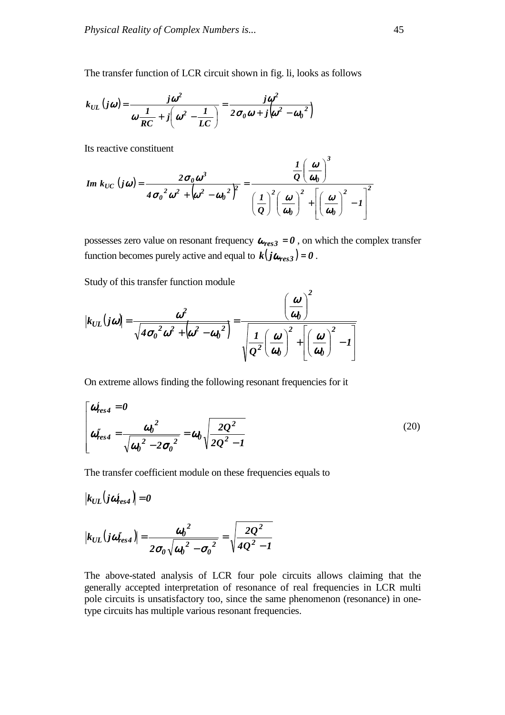The transfer function of LCR circuit shown in fig. li, looks as follows

$$
k_{UL}\left(j\omega\right) = \frac{j\omega^2}{\omega\frac{1}{RC}+j\left(\omega^2-\frac{1}{LC}\right)} = \frac{j\omega^2}{2\sigma_0\omega+j\left(\omega^2-\omega_0^2\right)}
$$

Its reactive constituent

$$
Im\ k_{UC}\left(j\omega\right)=\frac{2\sigma_0\omega^3}{4\sigma_0^2\omega^2+\left(\omega^2-\omega_0^2\right)^2}=\frac{\frac{1}{Q}\left(\frac{\omega}{\omega_0}\right)^3}{\left(\frac{1}{Q}\right)^2\left(\frac{\omega}{\omega_0}\right)^2+\left[\left(\frac{\omega}{\omega_0}\right)^2-1\right]^2}
$$

possesses zero value on resonant frequency  $\omega_{res,3} = 0$ , on which the complex transfer function becomes purely active and equal to  $k(j\omega_{res3}) = 0$ .

Study of this transfer function module

$$
|k_{UL}(j\omega)| = \frac{\omega^2}{\sqrt{4{\sigma_0}^2 \omega^2 + (\omega^2 - {\omega_0}^2)}} = \frac{\left(\frac{\omega}{\omega_0}\right)^2}{\sqrt{\frac{1}{Q^2} \left(\frac{\omega}{\omega_0}\right)^2 + \left[\left(\frac{\omega}{\omega_0}\right)^2 - 1\right]}}
$$

On extreme allows finding the following resonant frequencies for it

$$
\begin{bmatrix}\n\omega'_{res4} = 0 \\
\omega''_{res4} = \frac{\omega_0^2}{\sqrt{\omega_0^2 - 2\sigma_0^2}} = \omega_0 \sqrt{\frac{2Q^2}{2Q^2 - 1}}\n\end{bmatrix}
$$
\n(20)

The transfer coefficient module on these frequencies equals to

$$
|k_{UL}(j\omega'_{res4})| = 0
$$
  

$$
|k_{UL}(j\omega''_{res4})| = \frac{{\omega_0}^2}{2{\sigma_0}\sqrt{{\omega_0}^2 - {\sigma_0}^2}} = \sqrt{\frac{2Q^2}{4Q^2 - 1}}
$$

The above-stated analysis of LCR four pole circuits allows claiming that the generally accepted interpretation of resonance of real frequencies in LCR multi pole circuits is unsatisfactory too, since the same phenomenon (resonance) in onetype circuits has multiple various resonant frequencies.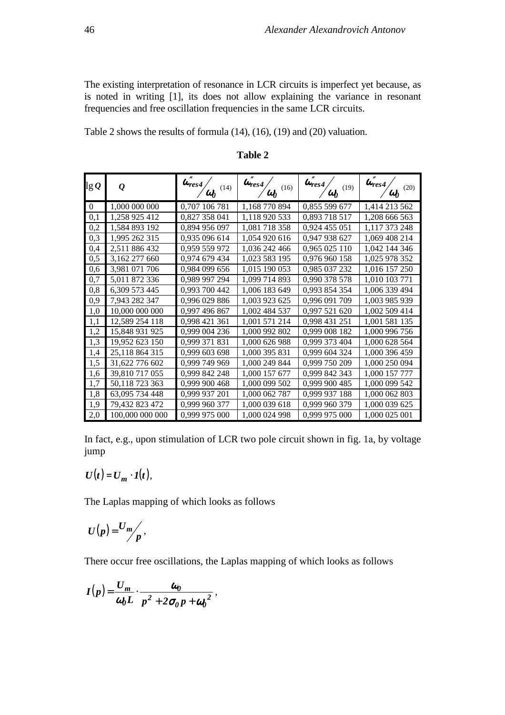The existing interpretation of resonance in LCR circuits is imperfect yet because, as is noted in writing [1], its does not allow explaining the variance in resonant frequencies and free oscillation frequencies in the same LCR circuits.

Table 2 shows the results of formula (14), (16), (19) and (20) valuation.

| $\lg\varrho$   | $\varrho$       | $\overline{\omega}''_{res4}/\overline{\omega_0}$<br>(14) | $\overline{\omega}''_{res4} /_{\overline{\omega}_0}$<br>(16) | $\omega_{res4}^{''}/\omega_0$ (19) | $\omega_{res4}^{''}$<br>(20) |
|----------------|-----------------|----------------------------------------------------------|--------------------------------------------------------------|------------------------------------|------------------------------|
| $\overline{0}$ | 1,000 000 000   | 0,707 106 781                                            | 1,168 770 894                                                | 0,855 599 677                      | 1,414 213 562                |
| 0,1            | 1,258 925 412   | 0,827 358 041                                            | 1,118 920 533                                                | 0,893 718 517                      | 1,208 666 563                |
| 0,2            | 1,584 893 192   | 0,894 956 097                                            | 1,081 718 358                                                | 0,924 455 051                      | 1,117 373 248                |
| 0,3            | 1,995 262 315   | 0,935 096 614                                            | 1,054 920 616                                                | 0,947 938 627                      | 1,069 408 214                |
| 0,4            | 2,511 886 432   | 0,959 559 972                                            | 1,036 242 466                                                | 0,965 025 110                      | 1,042 144 346                |
| 0,5            | 3,162 277 660   | 0,974 679 434                                            | 1,023 583 195                                                | 0,976 960 158                      | 1,025 978 352                |
| 0,6            | 3,981 071 706   | 0,984 099 656                                            | 1,015 190 053                                                | 0,985 037 232                      | 1,016 157 250                |
| 0,7            | 5,011 872 336   | 0,989 997 294                                            | 1,099 714 893                                                | 0,990 378 578                      | 1,010 103 771                |
| 0,8            | 6,309 573 445   | 0,993 700 442                                            | 1,006 183 649                                                | 0,993 854 354                      | 1,006 339 494                |
| 0,9            | 7,943 282 347   | 0,996 029 886                                            | 1,003 923 625                                                | 0,996 091 709                      | 1,003 985 939                |
| 1,0            | 10,000 000 000  | 0,997 496 867                                            | 1,002 484 537                                                | 0,997 521 620                      | 1,002 509 414                |
| 1,1            | 12,589 254 118  | 0,998 421 361                                            | 1,001 571 214                                                | 0,998 431 251                      | 1,001 581 135                |
| 1,2            | 15,848 931 925  | 0,999 004 236                                            | 1,000 992 802                                                | 0,999 008 182                      | 1,000 996 756                |
| 1,3            | 19,952 623 150  | 0,999 371 831                                            | 1,000 626 988                                                | 0,999 373 404                      | 1,000 628 564                |
| 1,4            | 25,118 864 315  | 0,999 603 698                                            | 1,000 395 831                                                | 0,999 604 324                      | 1,000 396 459                |
| 1,5            | 31,622 776 602  | 0,999 749 969                                            | 1,000 249 844                                                | 0,999 750 209                      | 1,000 250 094                |
| 1,6            | 39,810 717 055  | 0,999 842 248                                            | 1,000 157 677                                                | 0,999 842 343                      | 1,000 157 777                |
| 1,7            | 50,118 723 363  | 0,999 900 468                                            | 1,000 099 502                                                | 0,999 900 485                      | 1,000 099 542                |
| 1,8            | 63,095 734 448  | 0,999 937 201                                            | 1,000 062 787                                                | 0,999 937 188                      | 1,000 062 803                |
| 1,9            | 79,432 823 472  | 0,999 960 377                                            | 1,000 039 618                                                | 0,999 960 379                      | 1,000 039 625                |
| 2,0            | 100,000 000 000 | 0,999 975 000                                            | 1,000 024 998                                                | 0,999 975 000                      | 1,000 025 001                |

**Table 2** 

In fact, e.g., upon stimulation of LCR two pole circuit shown in fig. 1а, by voltage jump

$$
U(t) = U_m \cdot I(t),
$$

The Laplas mapping of which looks as follows

$$
U(p)=\frac{U_m}{p},
$$

There occur free oscillations, the Laplas mapping of which looks as follows

$$
I(p) = \frac{U_m}{\omega_0 L} \cdot \frac{\omega_0}{p^2 + 2\sigma_0 p + \omega_0^2},
$$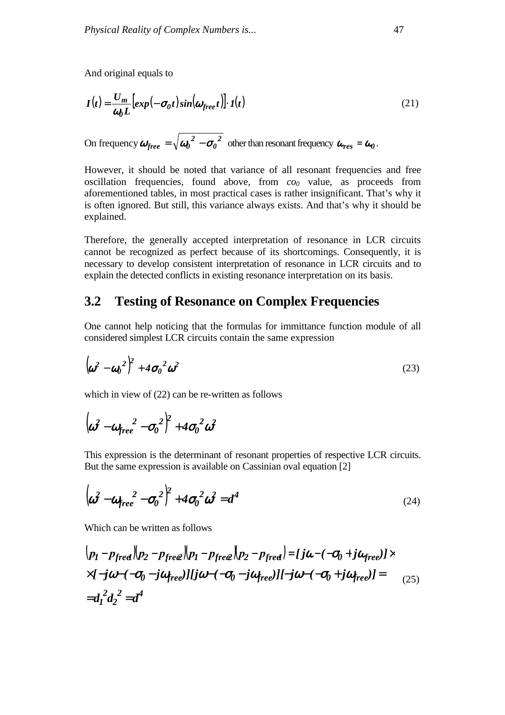And original equals to

$$
I(t) = \frac{U_m}{\omega_0 L} \left[ exp(-\sigma_0 t) sin(\omega_{free} t) \right] \cdot I(t)
$$
 (21)

On frequency  $\boldsymbol{\omega}_{free} = \sqrt{{\boldsymbol{\omega}_0}^2 - {\boldsymbol{\sigma}_0}^2}$  $\boldsymbol{\omega}_{free} = \sqrt{{\boldsymbol{\omega}_0}^2 - {\boldsymbol{\sigma}_0}^2}$  other than resonant frequency  $\boldsymbol{\omega}_{res} = \boldsymbol{\omega}_0$ .

However, it should be noted that variance of all resonant frequencies and free oscillation frequencies, found above, from *co<sup>0</sup>* value, as proceeds from aforementioned tables, in most practical cases is rather insignificant. That's why it is often ignored. But still, this variance always exists. And that's why it should be explained.

Therefore, the generally accepted interpretation of resonance in LCR circuits cannot be recognized as perfect because of its shortcomings. Consequently, it is necessary to develop consistent interpretation of resonance in LCR circuits and to explain the detected conflicts in existing resonance interpretation on its basis.

#### **3.2 Testing of Resonance on Complex Frequencies**

One cannot help noticing that the formulas for immittance function module of all considered simplest LCR circuits contain the same expression

$$
\left(\boldsymbol{\omega}^2-\boldsymbol{\omega_0}^2\right)^2+4\sigma_0^2\boldsymbol{\omega}^2
$$
 (23)

which in view of (22) can be re-written as follows

$$
\left(\omega^2-\omega_{free}^2-\sigma_0^2\right)^2+4\sigma_0^2\omega^2
$$

This expression is the determinant of resonant properties of respective LCR circuits. But the same expression is available on Cassinian oval equation [2]

$$
\left(\omega^2 - \omega_{free}^2 - \sigma_0^2\right)^2 + 4\sigma_0^2 \omega^2 = d^4 \tag{24}
$$

Which can be written as follows

$$
\begin{aligned} &\left(p_1 - p_{freq}\right)\left(p_2 - p_{freq}\right)\left(p_1 - p_{freq}\right)\left(p_2 - p_{freq}\right) = [j\omega - (-\sigma_0 + j\omega_{free})] \times \\ &\times [-j\omega - (-\sigma_0 - j\omega_{free})][j\omega - (-\sigma_0 - j\omega_{free})] - j\omega - (-\sigma_0 + j\omega_{free})] = \\ &= d_1^2 d_2^2 = d^4 \end{aligned} \tag{25}
$$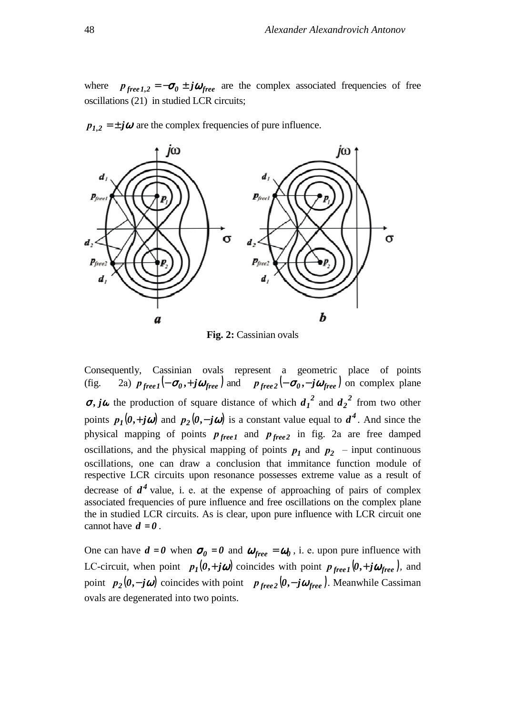where  $p_{\text{free 1,2}} = -\sigma_0 \pm j\omega_{\text{free}}$  are the complex associated frequencies of free oscillations (21) in studied LCR circuits;



 $p_{1,2} = \pm j\omega$  are the complex frequencies of pure influence.

**Fig. 2:** Cassinian ovals

Consequently, Cassinian ovals represent a geometric place of points (fig. 2a)  $p_{free1}(-\sigma_0, +j\omega_{free})$  and  $p_{free2}(-\sigma_0, -j\omega_{free})$  on complex plane  $\sigma$ , *j* $\omega$  the production of square distance of which  $d_1^2$  and  $d_2^2$  from two other points  $p_1(0, +j\omega)$  and  $p_2(0, -j\omega)$  is a constant value equal to  $d^4$ . And since the physical mapping of points  $p_{free1}$  and  $p_{free2}$  in fig. 2a are free damped oscillations, and the physical mapping of points  $p_1$  and  $p_2$  – input continuous oscillations, one can draw a conclusion that immitance function module of respective LCR circuits upon resonance possesses extreme value as a result of decrease of  $d^4$  value, i. e. at the expense of approaching of pairs of complex associated frequencies of pure influence and free oscillations on the complex plane the in studied LCR circuits. As is clear, upon pure influence with LCR circuit one cannot have  $d = 0$ .

One can have  $d = 0$  when  $\sigma_0 = 0$  and  $\omega_{free} = \omega_0$ , i. e. upon pure influence with LC-circuit, when point  $p_1(0, +j\omega)$  coincides with point  $p_{free1}(0, +j\omega_{free})$ , and point  $p_2(\theta, -j\omega)$  coincides with point  $p_{free2}(\theta, -j\omega_{free})$ . Meanwhile Cassiman ovals are degenerated into two points.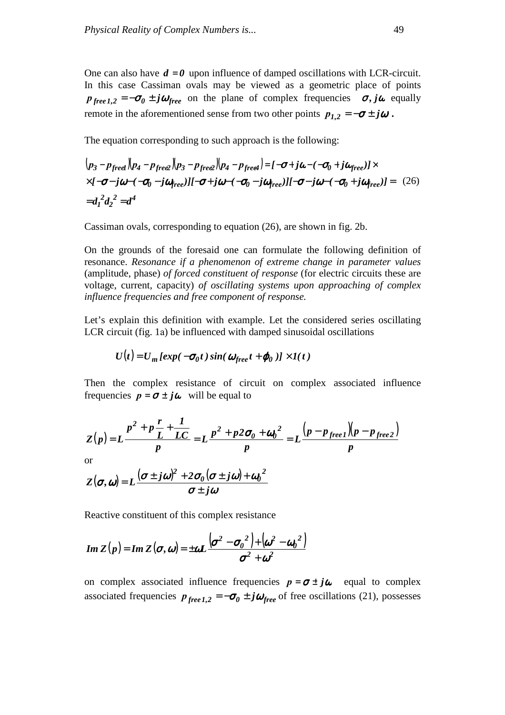One can also have  $d = 0$  upon influence of damped oscillations with LCR-circuit. In this case Cassiman ovals may be viewed as a geometric place of points  *<i>free l*,  *<i>free* on the plane of complex frequencies  $\sigma$ , *j* $\omega$  equally remote in the aforementioned sense from two other points  $p_{1,2} = -\sigma \pm j\omega$ .

The equation corresponding to such approach is the following:

$$
(p_3 - p_{freq}) (p_4 - p_{freq}) (p_3 - p_{freq}) (p_4 - p_{freq}) = [-\sigma + j\omega - (-\sigma_0 + j\omega_{free})] \times
$$
  
×[-\sigma - j\omega - (-\sigma\_0 - j\omega\_{free})][-\sigma + j\omega - (-\sigma\_0 - j\omega\_{free})][-\sigma - j\omega - (-\sigma\_0 + j\omega\_{free})] = (26)  
=d<sub>1</sub><sup>2</sup>d<sub>2</sub><sup>2</sup> = d<sup>4</sup>

Cassiman ovals, corresponding to equation (26), are shown in fig. 2b.

On the grounds of the foresaid one can formulate the following definition of resonance. *Resonance if a phenomenon of extreme change in parameter values*  (amplitude, phase) *of forced constituent of response* (for electric circuits these are voltage, current, capacity) *of oscillating systems upon approaching of complex influence frequencies and free component of response.*

Let's explain this definition with example. Let the considered series oscillating LCR circuit (fig. 1a) be influenced with damped sinusoidal oscillations

$$
U(t) = U_m \left[ exp(-\sigma_0 t) \sin(\omega_{free} t + \varphi_0) \right] \times I(t)
$$

Then the complex resistance of circuit on complex associated influence frequencies  $p = \sigma \pm i\omega$  will be equal to

$$
Z(p) = L \frac{p^2 + p \frac{r}{L} + \frac{1}{LC}}{p} = L \frac{p^2 + p2\sigma_0 + \omega_0^2}{p} = L \frac{(p - p_{free}) (p - p_{free})}{p}
$$

or

$$
Z(\sigma,\omega) = L\frac{(\sigma \pm j\omega)^2 + 2\sigma_0(\sigma \pm j\omega) + {\omega_0}^2}{\sigma \pm j\omega}
$$

Reactive constituent of this complex resistance

Im 
$$
Z(p)
$$
 = Im  $Z(\sigma, \omega)$  =  $\pm \omega L \frac{(\sigma^2 - {\sigma_0}^2) + (\omega^2 - {\omega_0}^2)}{\sigma^2 + \omega^2}$ 

on complex associated influence frequencies  $p = \sigma \pm i\omega$  equal to complex associated frequencies  $p_{free I,2} = -\sigma_0 \pm j\omega_{free}$  of free oscillations (21), possesses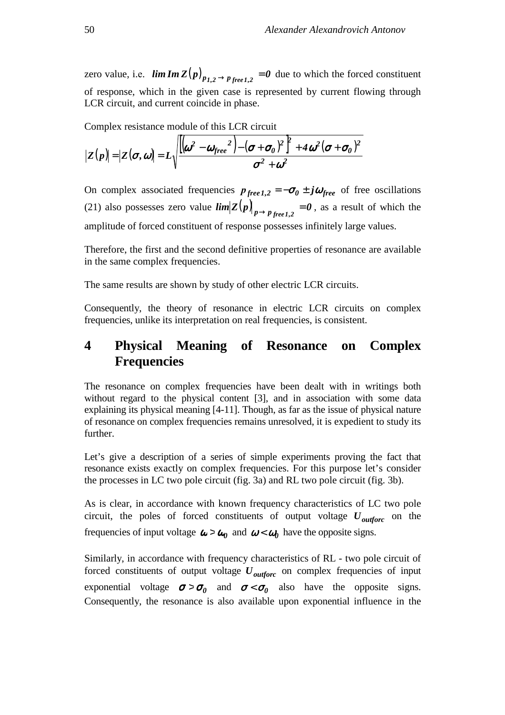zero value, i.e.  $\lim_{m \to \infty} Im(Z(p)_{p_{1,2} \to p_{free,1,2}} = 0$  due to which the forced constituent of response, which in the given case is represented by current flowing through LCR circuit, and current coincide in phase.

Complex resistance module of this LCR circuit

$$
|Z(p)|=|Z(\boldsymbol{\sigma},\boldsymbol{\omega})| = L\sqrt{\frac{[(\boldsymbol{\omega}^2-\boldsymbol{\omega}_{free}^2)-(\boldsymbol{\sigma}+\boldsymbol{\sigma}_0)^2]^2+4\boldsymbol{\omega}^2(\boldsymbol{\sigma}+\boldsymbol{\sigma}_0)^2}{\sigma^2+\boldsymbol{\omega}^2}}
$$

On complex associated frequencies  $p_{free 1,2} = -\sigma_0 \pm j\omega_{free}$  of free oscillations (21) also possesses zero value  $\lim_{p \to p} |Z(p)|_{p \to p}$  *free*,  $p \neq 0$ , as a result of which the amplitude of forced constituent of response possesses infinitely large values.

Therefore, the first and the second definitive properties of resonance are available in the same complex frequencies.

The same results are shown by study of other electric LCR circuits.

Consequently, the theory of resonance in electric LCR circuits on complex frequencies, unlike its interpretation on real frequencies, is consistent.

### **4 Physical Meaning of Resonance on Complex Frequencies**

The resonance on complex frequencies have been dealt with in writings both without regard to the physical content [3], and in association with some data explaining its physical meaning [4-11]. Though, as far as the issue of physical nature of resonance on complex frequencies remains unresolved, it is expedient to study its further.

Let's give a description of a series of simple experiments proving the fact that resonance exists exactly on complex frequencies. For this purpose let's consider the processes in LC two pole circuit (fig. 3a) and RL two pole circuit (fig. 3b).

As is clear, in accordance with known frequency characteristics of LC two pole circuit, the poles of forced constituents of output voltage *Uoutforc* on the frequencies of input voltage  $\omega > \omega_0$  and  $\omega < \omega_0$  have the opposite signs.

Similarly, in accordance with frequency characteristics of RL - two pole circuit of forced constituents of output voltage *Uoutforc* on complex frequencies of input exponential voltage  $\sigma > \sigma_0$  and  $\sigma < \sigma_0$  also have the opposite signs. Consequently, the resonance is also available upon exponential influence in the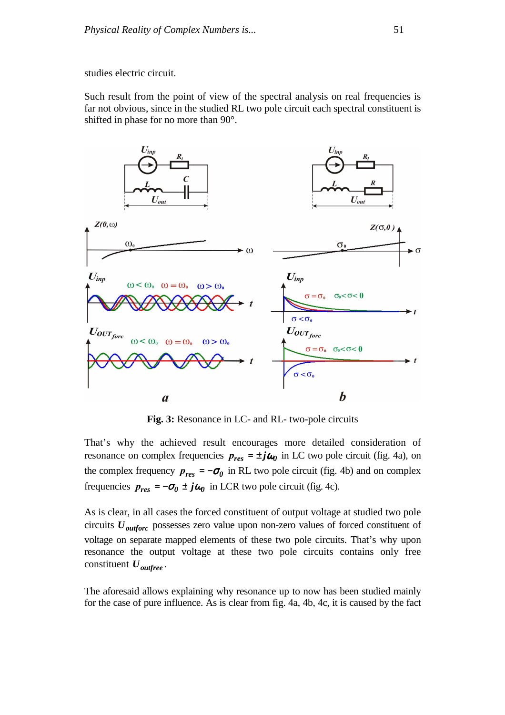studies electric circuit.

Such result from the point of view of the spectral analysis on real frequencies is far not obvious, since in the studied RL two pole circuit each spectral constituent is shifted in phase for no more than 90°.



**Fig. 3:** Resonance in LC- and RL- two-pole circuits

That's why the achieved result encourages more detailed consideration of resonance on complex frequencies  $p_{res} = \pm j\omega_0$  in LC two pole circuit (fig. 4a), on the complex frequency  $p_{res} = -\sigma_0$  in RL two pole circuit (fig. 4b) and on complex frequencies  $p_{res} = -\sigma_0 \pm j\omega_0$  in LCR two pole circuit (fig. 4c).

As is clear, in all cases the forced constituent of output voltage at studied two pole circuits *Uoutforc* possesses zero value upon non-zero values of forced constituent of voltage on separate mapped elements of these two pole circuits. That's why upon resonance the output voltage at these two pole circuits contains only free constituent *Uoutfree .* 

The aforesaid allows explaining why resonance up to now has been studied mainly for the case of pure influence. As is clear from fig. 4a, 4b, 4c, it is caused by the fact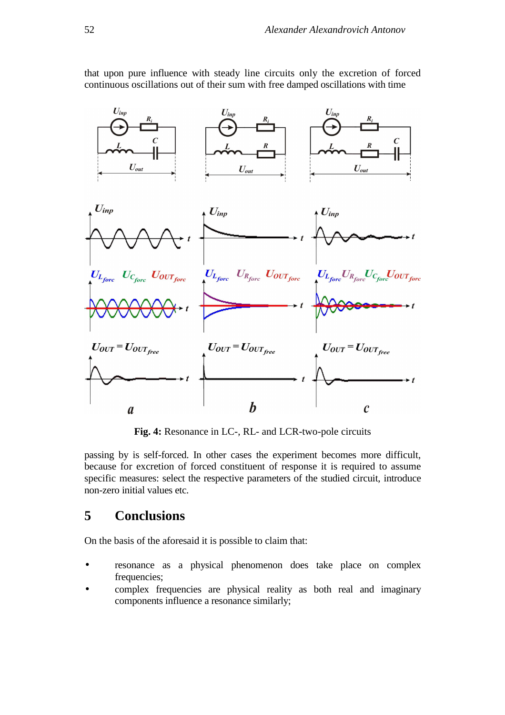

that upon pure influence with steady line circuits only the excretion of forced continuous oscillations out of their sum with free damped oscillations with time

**Fig. 4:** Resonance in LC-, RL- and LCR-two-pole circuits

passing by is self-forced. In other cases the experiment becomes more difficult, because for excretion of forced constituent of response it is required to assume specific measures: select the respective parameters of the studied circuit, introduce non-zero initial values etc.

#### **5 Conclusions**

On the basis of the aforesaid it is possible to claim that:

- resonance as a physical phenomenon does take place on complex frequencies;
- complex frequencies are physical reality as both real and imaginary components influence a resonance similarly;